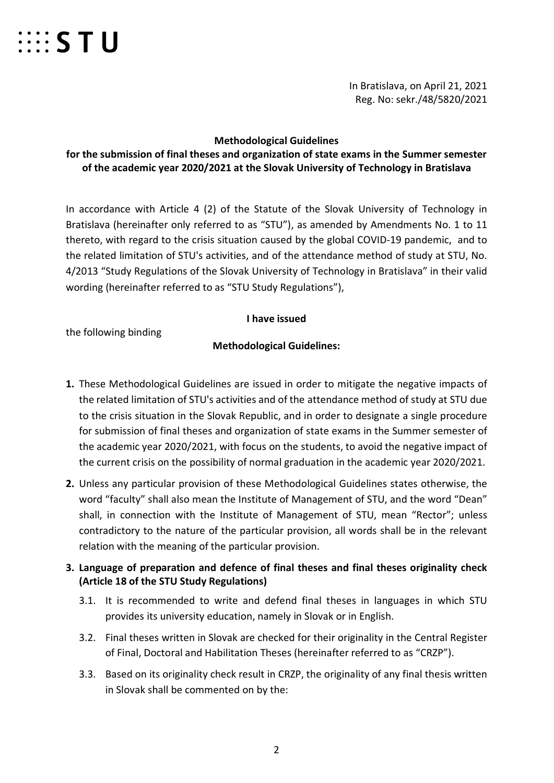

In Bratislava, on April 21, 2021 Reg. No: sekr./48/5820/2021

#### **Methodological Guidelines**

## **for the submission of final theses and organization of state exams in the Summer semester of the academic year 2020/2021 at the Slovak University of Technology in Bratislava**

In accordance with Article 4 (2) of the Statute of the Slovak University of Technology in Bratislava (hereinafter only referred to as "STU"), as amended by Amendments No. 1 to 11 thereto, with regard to the crisis situation caused by the global COVID-19 pandemic, and to the related limitation of STU's activities, and of the attendance method of study at STU, No. 4/2013 "Study Regulations of the Slovak University of Technology in Bratislava" in their valid wording (hereinafter referred to as "STU Study Regulations"),

#### **I have issued**

the following binding

## **Methodological Guidelines:**

- **1.** These Methodological Guidelines are issued in order to mitigate the negative impacts of the related limitation of STU's activities and of the attendance method of study at STU due to the crisis situation in the Slovak Republic, and in order to designate a single procedure for submission of final theses and organization of state exams in the Summer semester of the academic year 2020/2021, with focus on the students, to avoid the negative impact of the current crisis on the possibility of normal graduation in the academic year 2020/2021.
- **2.** Unless any particular provision of these Methodological Guidelines states otherwise, the word "faculty" shall also mean the Institute of Management of STU, and the word "Dean" shall, in connection with the Institute of Management of STU, mean "Rector"; unless contradictory to the nature of the particular provision, all words shall be in the relevant relation with the meaning of the particular provision.
- **3. Language of preparation and defence of final theses and final theses originality check (Article 18 of the STU Study Regulations)**
	- 3.1. It is recommended to write and defend final theses in languages in which STU provides its university education, namely in Slovak or in English.
	- 3.2. Final theses written in Slovak are checked for their originality in the Central Register of Final, Doctoral and Habilitation Theses (hereinafter referred to as "CRZP").
	- 3.3. Based on its originality check result in CRZP, the originality of any final thesis written in Slovak shall be commented on by the: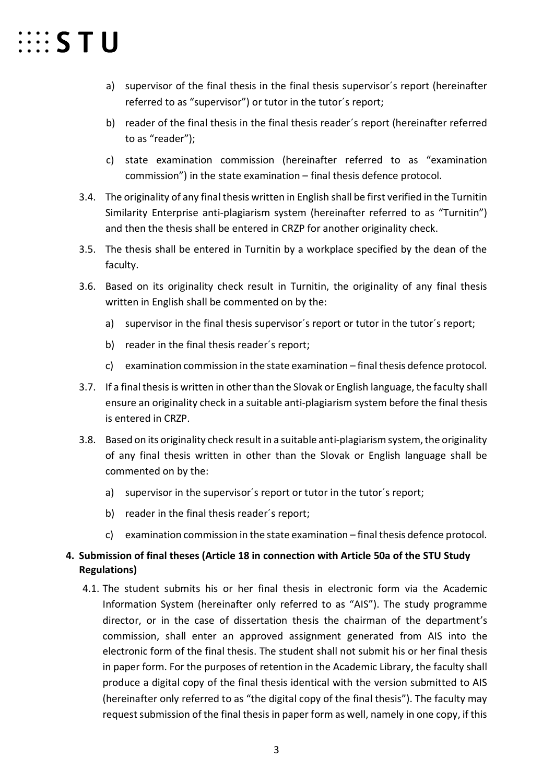# $\cdots$  STU

- a) supervisor of the final thesis in the final thesis supervisor´s report (hereinafter referred to as "supervisor") or tutor in the tutor´s report;
- b) reader of the final thesis in the final thesis reader´s report (hereinafter referred to as "reader");
- c) state examination commission (hereinafter referred to as "examination commission") in the state examination – final thesis defence protocol.
- 3.4. The originality of any final thesis written in English shall be first verified in the Turnitin Similarity Enterprise anti-plagiarism system (hereinafter referred to as "Turnitin") and then the thesis shall be entered in CRZP for another originality check.
- 3.5. The thesis shall be entered in Turnitin by a workplace specified by the dean of the faculty.
- 3.6. Based on its originality check result in Turnitin, the originality of any final thesis written in English shall be commented on by the:
	- a) supervisor in the final thesis supervisor´s report or tutor in the tutor´s report;
	- b) reader in the final thesis reader´s report;
	- c) examination commission in the state examination final thesis defence protocol.
- 3.7. If a final thesis is written in other than the Slovak or English language, the faculty shall ensure an originality check in a suitable anti-plagiarism system before the final thesis is entered in CRZP.
- 3.8. Based on its originality check result in a suitable anti-plagiarism system, the originality of any final thesis written in other than the Slovak or English language shall be commented on by the:
	- a) supervisor in the supervisor´s report or tutor in the tutor´s report;
	- b) reader in the final thesis reader´s report;
	- c) examination commission in the state examination final thesis defence protocol.

# **4. Submission of final theses (Article 18 in connection with Article 50a of the STU Study Regulations)**

4.1. The student submits his or her final thesis in electronic form via the Academic Information System (hereinafter only referred to as "AIS"). The study programme director, or in the case of dissertation thesis the chairman of the department's commission, shall enter an approved assignment generated from AIS into the electronic form of the final thesis. The student shall not submit his or her final thesis in paper form. For the purposes of retention in the Academic Library, the faculty shall produce a digital copy of the final thesis identical with the version submitted to AIS (hereinafter only referred to as "the digital copy of the final thesis"). The faculty may request submission of the final thesis in paper form as well, namely in one copy, if this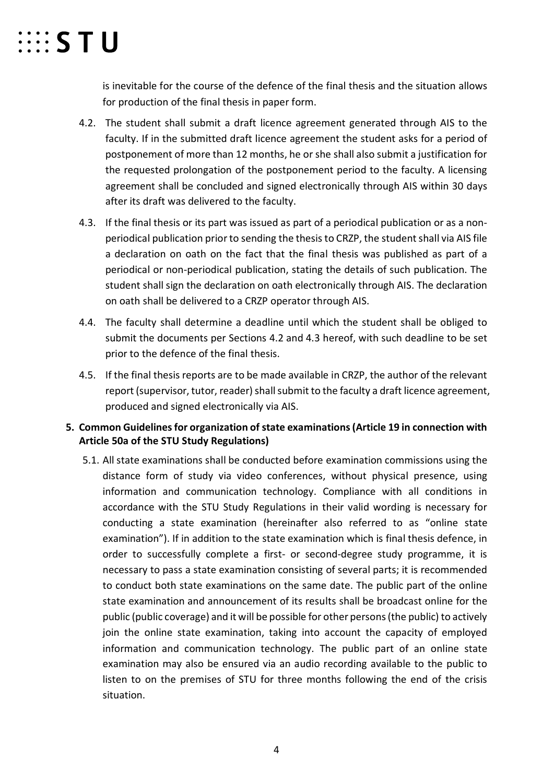

is inevitable for the course of the defence of the final thesis and the situation allows for production of the final thesis in paper form.

- 4.2. The student shall submit a draft licence agreement generated through AIS to the faculty. If in the submitted draft licence agreement the student asks for a period of postponement of more than 12 months, he or she shall also submit a justification for the requested prolongation of the postponement period to the faculty. A licensing agreement shall be concluded and signed electronically through AIS within 30 days after its draft was delivered to the faculty.
- 4.3. If the final thesis or its part was issued as part of a periodical publication or as a nonperiodical publication prior to sending the thesis to CRZP, the student shall via AIS file a declaration on oath on the fact that the final thesis was published as part of a periodical or non-periodical publication, stating the details of such publication. The student shall sign the declaration on oath electronically through AIS. The declaration on oath shall be delivered to a CRZP operator through AIS.
- 4.4. The faculty shall determine a deadline until which the student shall be obliged to submit the documents per Sections 4.2 and 4.3 hereof, with such deadline to be set prior to the defence of the final thesis.
- 4.5. If the final thesis reports are to be made available in CRZP, the author of the relevant report (supervisor, tutor, reader) shall submit to the faculty a draft licence agreement, produced and signed electronically via AIS.

## **5. Common Guidelines for organization of state examinations (Article 19 in connection with Article 50a of the STU Study Regulations)**

5.1. All state examinations shall be conducted before examination commissions using the distance form of study via video conferences, without physical presence, using information and communication technology. Compliance with all conditions in accordance with the STU Study Regulations in their valid wording is necessary for conducting a state examination (hereinafter also referred to as "online state examination"). If in addition to the state examination which is final thesis defence, in order to successfully complete a first- or second-degree study programme, it is necessary to pass a state examination consisting of several parts; it is recommended to conduct both state examinations on the same date. The public part of the online state examination and announcement of its results shall be broadcast online for the public (public coverage) and it will be possible for other persons (the public) to actively join the online state examination, taking into account the capacity of employed information and communication technology. The public part of an online state examination may also be ensured via an audio recording available to the public to listen to on the premises of STU for three months following the end of the crisis situation.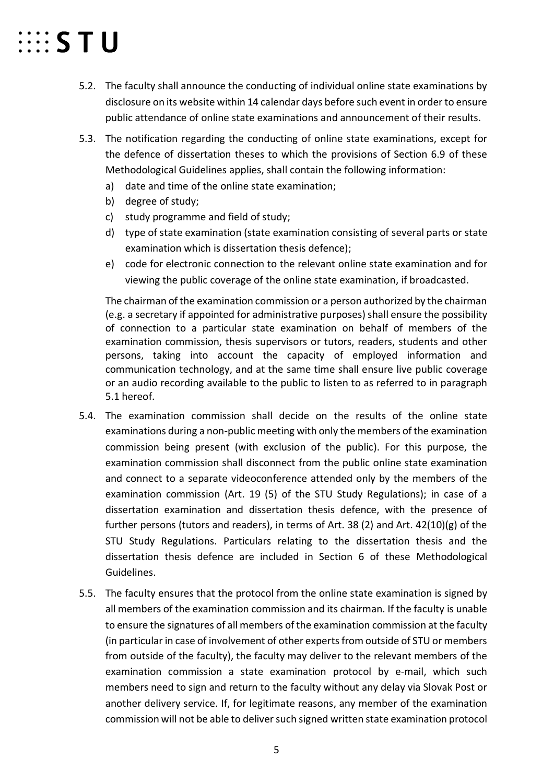# $\cdots$  STU

- 5.2. The faculty shall announce the conducting of individual online state examinations by disclosure on its website within 14 calendar days before such event in order to ensure public attendance of online state examinations and announcement of their results.
- 5.3. The notification regarding the conducting of online state examinations, except for the defence of dissertation theses to which the provisions of Section 6.9 of these Methodological Guidelines applies, shall contain the following information:
	- a) date and time of the online state examination;
	- b) degree of study;
	- c) study programme and field of study;
	- d) type of state examination (state examination consisting of several parts or state examination which is dissertation thesis defence);
	- e) code for electronic connection to the relevant online state examination and for viewing the public coverage of the online state examination, if broadcasted.

The chairman of the examination commission or a person authorized by the chairman (e.g. a secretary if appointed for administrative purposes) shall ensure the possibility of connection to a particular state examination on behalf of members of the examination commission, thesis supervisors or tutors, readers, students and other persons, taking into account the capacity of employed information and communication technology, and at the same time shall ensure live public coverage or an audio recording available to the public to listen to as referred to in paragraph 5.1 hereof.

- 5.4. The examination commission shall decide on the results of the online state examinations during a non-public meeting with only the members of the examination commission being present (with exclusion of the public). For this purpose, the examination commission shall disconnect from the public online state examination and connect to a separate videoconference attended only by the members of the examination commission (Art. 19 (5) of the STU Study Regulations); in case of a dissertation examination and dissertation thesis defence, with the presence of further persons (tutors and readers), in terms of Art. 38 (2) and Art. 42(10)(g) of the STU Study Regulations. Particulars relating to the dissertation thesis and the dissertation thesis defence are included in Section 6 of these Methodological Guidelines.
- 5.5. The faculty ensures that the protocol from the online state examination is signed by all members of the examination commission and its chairman. If the faculty is unable to ensure the signatures of all members of the examination commission at the faculty (in particular in case of involvement of other experts from outside of STU or members from outside of the faculty), the faculty may deliver to the relevant members of the examination commission a state examination protocol by e-mail, which such members need to sign and return to the faculty without any delay via Slovak Post or another delivery service. If, for legitimate reasons, any member of the examination commission will not be able to deliver such signed written state examination protocol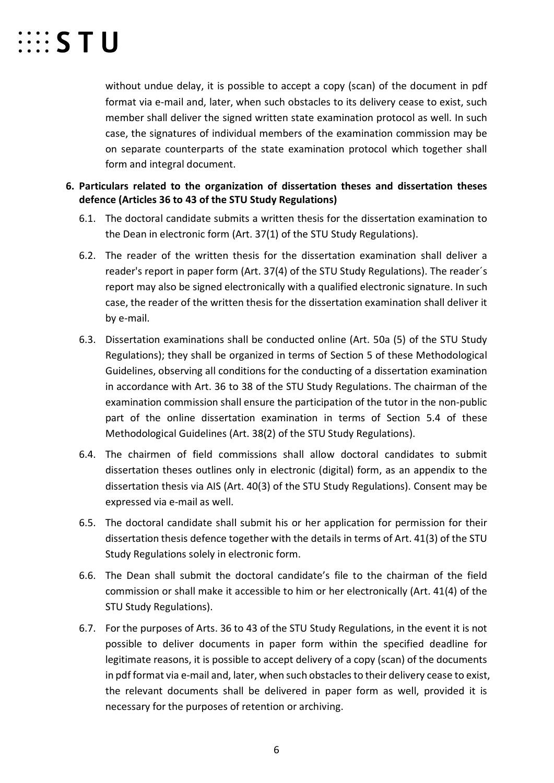

without undue delay, it is possible to accept a copy (scan) of the document in pdf format via e-mail and, later, when such obstacles to its delivery cease to exist, such member shall deliver the signed written state examination protocol as well. In such case, the signatures of individual members of the examination commission may be on separate counterparts of the state examination protocol which together shall form and integral document.

## **6. Particulars related to the organization of dissertation theses and dissertation theses defence (Articles 36 to 43 of the STU Study Regulations)**

- 6.1. The doctoral candidate submits a written thesis for the dissertation examination to the Dean in electronic form (Art. 37(1) of the STU Study Regulations).
- 6.2. The reader of the written thesis for the dissertation examination shall deliver a reader's report in paper form (Art. 37(4) of the STU Study Regulations). The reader´s report may also be signed electronically with a qualified electronic signature. In such case, the reader of the written thesis for the dissertation examination shall deliver it by e-mail.
- 6.3. Dissertation examinations shall be conducted online (Art. 50a (5) of the STU Study Regulations); they shall be organized in terms of Section 5 of these Methodological Guidelines, observing all conditions for the conducting of a dissertation examination in accordance with Art. 36 to 38 of the STU Study Regulations. The chairman of the examination commission shall ensure the participation of the tutor in the non-public part of the online dissertation examination in terms of Section 5.4 of these Methodological Guidelines (Art. 38(2) of the STU Study Regulations).
- 6.4. The chairmen of field commissions shall allow doctoral candidates to submit dissertation theses outlines only in electronic (digital) form, as an appendix to the dissertation thesis via AIS (Art. 40(3) of the STU Study Regulations). Consent may be expressed via e-mail as well.
- 6.5. The doctoral candidate shall submit his or her application for permission for their dissertation thesis defence together with the details in terms of Art. 41(3) of the STU Study Regulations solely in electronic form.
- 6.6. The Dean shall submit the doctoral candidate's file to the chairman of the field commission or shall make it accessible to him or her electronically (Art. 41(4) of the STU Study Regulations).
- 6.7. For the purposes of Arts. 36 to 43 of the STU Study Regulations, in the event it is not possible to deliver documents in paper form within the specified deadline for legitimate reasons, it is possible to accept delivery of a copy (scan) of the documents in pdf format via e-mail and, later, when such obstacles to their delivery cease to exist, the relevant documents shall be delivered in paper form as well, provided it is necessary for the purposes of retention or archiving.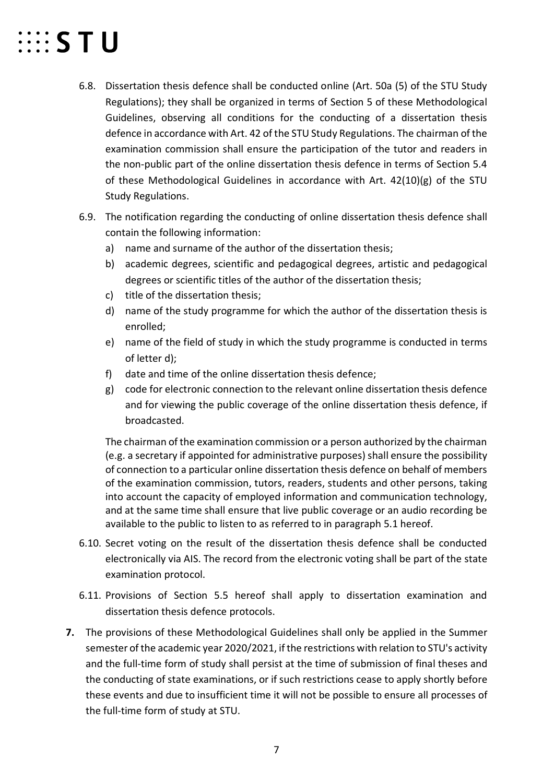# $\cdots$  STU

- 6.8. Dissertation thesis defence shall be conducted online (Art. 50a (5) of the STU Study Regulations); they shall be organized in terms of Section 5 of these Methodological Guidelines, observing all conditions for the conducting of a dissertation thesis defence in accordance with Art. 42 of the STU Study Regulations. The chairman of the examination commission shall ensure the participation of the tutor and readers in the non-public part of the online dissertation thesis defence in terms of Section 5.4 of these Methodological Guidelines in accordance with Art. 42(10)(g) of the STU Study Regulations.
- 6.9. The notification regarding the conducting of online dissertation thesis defence shall contain the following information:
	- a) name and surname of the author of the dissertation thesis;
	- b) academic degrees, scientific and pedagogical degrees, artistic and pedagogical degrees or scientific titles of the author of the dissertation thesis;
	- c) title of the dissertation thesis;
	- d) name of the study programme for which the author of the dissertation thesis is enrolled;
	- e) name of the field of study in which the study programme is conducted in terms of letter d);
	- f) date and time of the online dissertation thesis defence;
	- g) code for electronic connection to the relevant online dissertation thesis defence and for viewing the public coverage of the online dissertation thesis defence, if broadcasted.

The chairman of the examination commission or a person authorized by the chairman (e.g. a secretary if appointed for administrative purposes) shall ensure the possibility of connection to a particular online dissertation thesis defence on behalf of members of the examination commission, tutors, readers, students and other persons, taking into account the capacity of employed information and communication technology, and at the same time shall ensure that live public coverage or an audio recording be available to the public to listen to as referred to in paragraph 5.1 hereof.

- 6.10. Secret voting on the result of the dissertation thesis defence shall be conducted electronically via AIS. The record from the electronic voting shall be part of the state examination protocol.
- 6.11. Provisions of Section 5.5 hereof shall apply to dissertation examination and dissertation thesis defence protocols.
- **7.** The provisions of these Methodological Guidelines shall only be applied in the Summer semester of the academic year 2020/2021, if the restrictions with relation to STU's activity and the full-time form of study shall persist at the time of submission of final theses and the conducting of state examinations, or if such restrictions cease to apply shortly before these events and due to insufficient time it will not be possible to ensure all processes of the full-time form of study at STU.